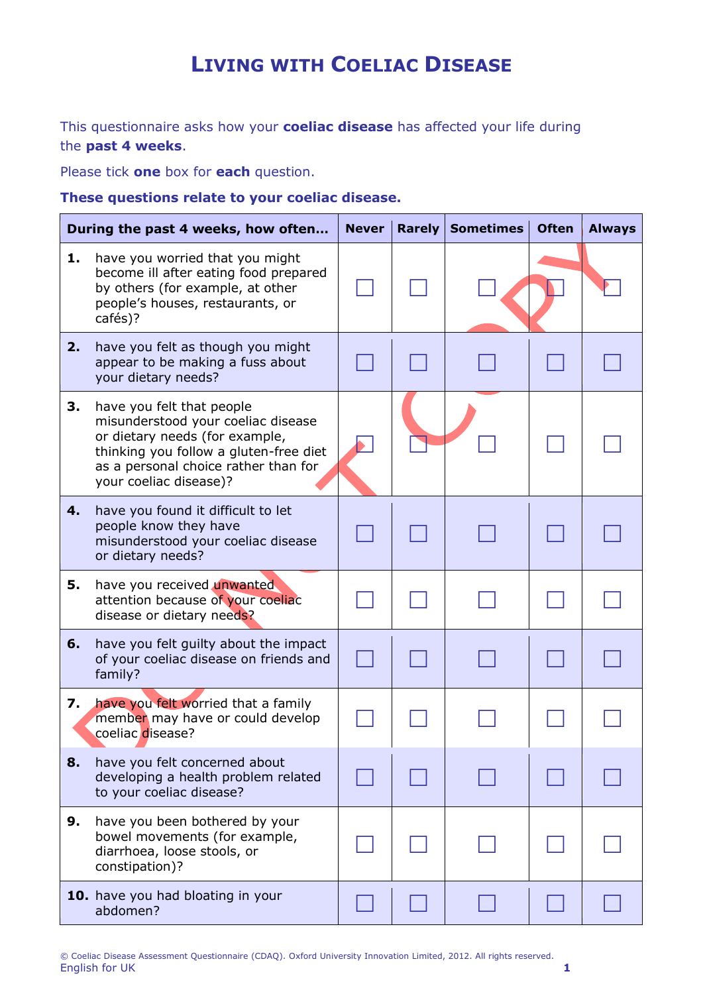## **LIVING WITH COELIAC DISEASE**

This questionnaire asks how your **coeliac disease** has affected your life during the **past 4 weeks**.

Please tick **one** box for **each** question.

**These questions relate to your coeliac disease.**

| During the past 4 weeks, how often |                                                                                                                                                                                                               | <b>Never</b> | <b>Rarely</b> | <b>Sometimes</b> | <b>Often</b> | <b>Always</b> |
|------------------------------------|---------------------------------------------------------------------------------------------------------------------------------------------------------------------------------------------------------------|--------------|---------------|------------------|--------------|---------------|
| 1.                                 | have you worried that you might<br>become ill after eating food prepared<br>by others (for example, at other<br>people's houses, restaurants, or<br>cafés)?                                                   |              |               |                  |              |               |
| 2.                                 | have you felt as though you might<br>appear to be making a fuss about<br>your dietary needs?                                                                                                                  |              |               |                  |              |               |
| З.                                 | have you felt that people<br>misunderstood your coeliac disease<br>or dietary needs (for example,<br>thinking you follow a gluten-free diet<br>as a personal choice rather than for<br>your coeliac disease)? |              |               |                  |              |               |
| 4.                                 | have you found it difficult to let<br>people know they have<br>misunderstood your coeliac disease<br>or dietary needs?                                                                                        |              |               |                  |              |               |
| 5.                                 | have you received unwanted<br>attention because of your coeliac<br>disease or dietary needs?                                                                                                                  |              |               |                  |              |               |
| 6.                                 | have you felt guilty about the impact<br>of your coeliac disease on friends and<br>family?                                                                                                                    |              |               |                  |              |               |
| 7.                                 | have you felt worried that a family<br>member may have or could develop<br>coeliac disease?                                                                                                                   |              |               |                  |              |               |
| 8.                                 | have you felt concerned about<br>developing a health problem related<br>to your coeliac disease?                                                                                                              |              |               |                  |              |               |
| 9.                                 | have you been bothered by your<br>bowel movements (for example,<br>diarrhoea, loose stools, or<br>constipation)?                                                                                              |              |               |                  |              |               |
|                                    | 10. have you had bloating in your<br>abdomen?                                                                                                                                                                 |              |               |                  |              |               |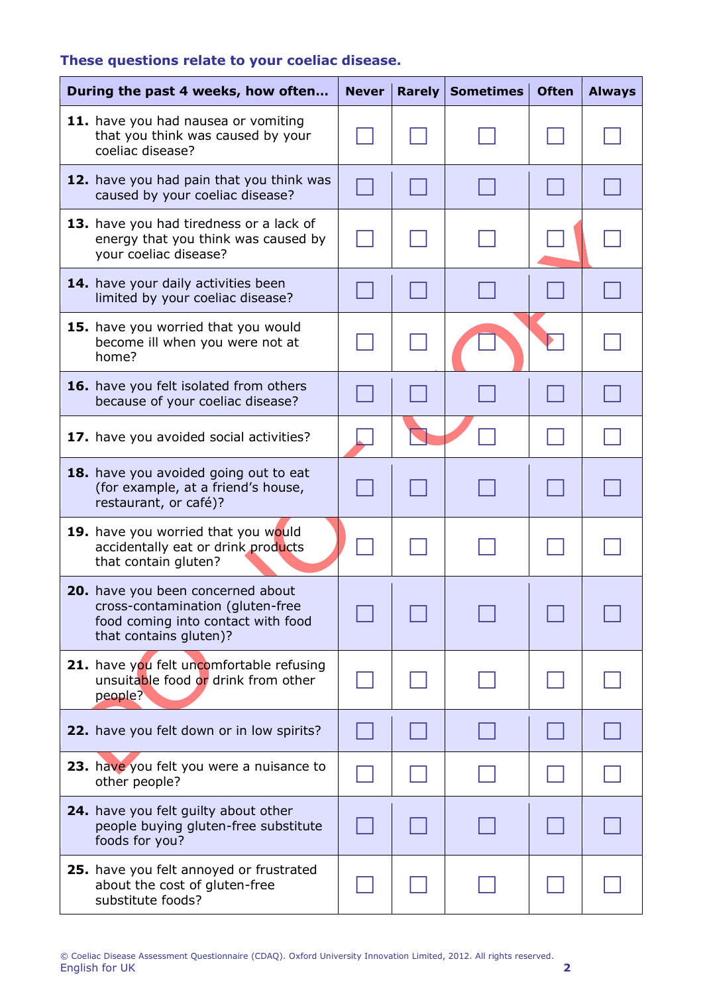## **These questions relate to your coeliac disease.**

| During the past 4 weeks, how often |                                                                                                                                       | <b>Never</b> | <b>Rarely</b> | <b>Sometimes</b> | <b>Often</b> | <b>Always</b> |
|------------------------------------|---------------------------------------------------------------------------------------------------------------------------------------|--------------|---------------|------------------|--------------|---------------|
|                                    | 11. have you had nausea or vomiting<br>that you think was caused by your<br>coeliac disease?                                          |              |               |                  |              |               |
|                                    | 12. have you had pain that you think was<br>caused by your coeliac disease?                                                           |              |               |                  |              |               |
|                                    | 13. have you had tiredness or a lack of<br>energy that you think was caused by<br>your coeliac disease?                               |              |               |                  |              |               |
|                                    | 14. have your daily activities been<br>limited by your coeliac disease?                                                               |              |               |                  |              |               |
|                                    | 15. have you worried that you would<br>become ill when you were not at<br>home?                                                       |              |               |                  |              |               |
|                                    | 16. have you felt isolated from others<br>because of your coeliac disease?                                                            |              |               |                  |              |               |
|                                    | 17. have you avoided social activities?                                                                                               |              |               |                  |              |               |
|                                    | 18. have you avoided going out to eat<br>(for example, at a friend's house,<br>restaurant, or café)?                                  |              |               |                  |              |               |
|                                    | 19. have you worried that you would<br>accidentally eat or drink products<br>that contain gluten?                                     |              |               |                  |              |               |
|                                    | 20. have you been concerned about<br>cross-contamination (gluten-free<br>food coming into contact with food<br>that contains gluten)? |              |               |                  |              |               |
|                                    | 21. have you felt uncomfortable refusing<br>unsuitable food or drink from other<br>people?                                            |              |               |                  |              |               |
|                                    | 22. have you felt down or in low spirits?                                                                                             |              |               |                  |              |               |
|                                    | 23. have you felt you were a nuisance to<br>other people?                                                                             |              |               |                  |              |               |
|                                    | 24. have you felt guilty about other<br>people buying gluten-free substitute<br>foods for you?                                        |              |               |                  |              |               |
|                                    | 25. have you felt annoyed or frustrated<br>about the cost of gluten-free<br>substitute foods?                                         |              |               |                  |              |               |